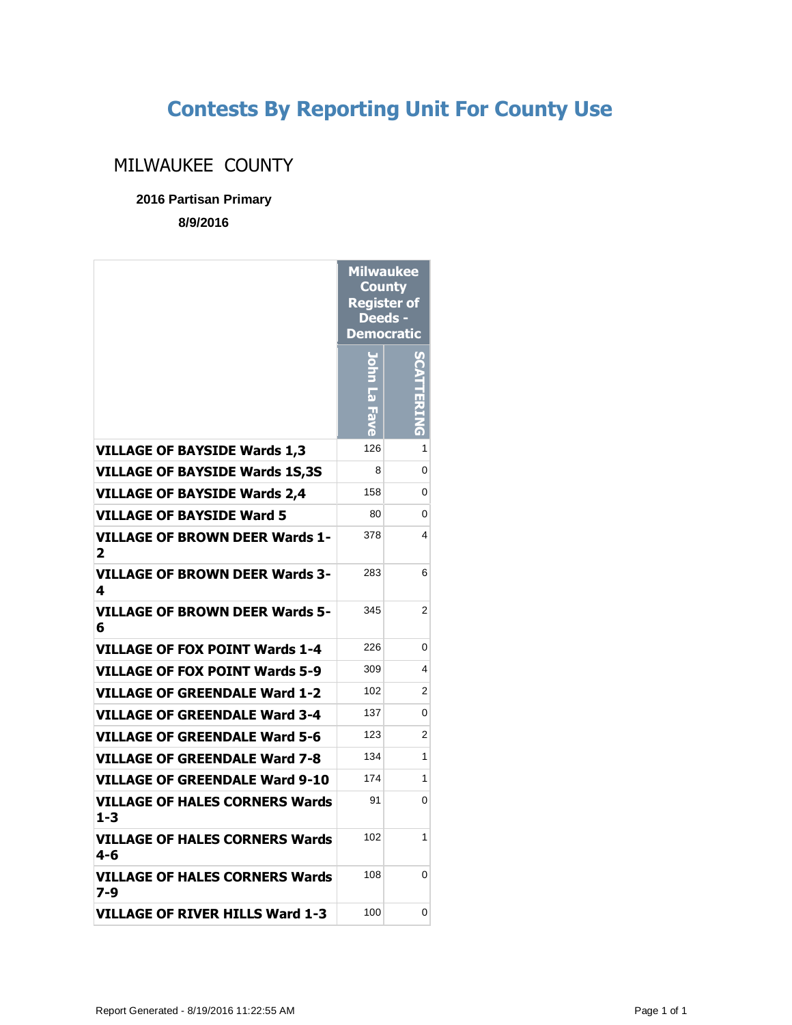## **Contests By Reporting Unit For County Use**

## MILWAUKEE COUNTY

**2016 Partisan Primary**

**8/9/2016**

|                                              | Milwaukee<br><b>County</b><br><b>Register of</b><br>Deeds -<br><b>Democratic</b> |   |
|----------------------------------------------|----------------------------------------------------------------------------------|---|
|                                              | a)                                                                               |   |
| <b>VILLAGE OF BAYSIDE Wards 1,3</b>          | 126                                                                              | 1 |
| <b>VILLAGE OF BAYSIDE Wards 1S,3S</b>        | 8                                                                                | 0 |
| <b>VILLAGE OF BAYSIDE Wards 2,4</b>          | 158                                                                              | 0 |
| <b>VILLAGE OF BAYSIDE Ward 5</b>             | 80                                                                               | 0 |
| VILLAGE OF BROWN DEER Wards 1-<br>2          | 378                                                                              | 4 |
| VILLAGE OF BROWN DEER Wards 3-<br>4          | 283                                                                              | 6 |
| <b>VILLAGE OF BROWN DEER Wards 5-</b><br>6   | 345                                                                              | 2 |
| <b>VILLAGE OF FOX POINT Wards 1-4</b>        | 226                                                                              | 0 |
| <b>VILLAGE OF FOX POINT Wards 5-9</b>        | 309                                                                              | 4 |
| <b>VILLAGE OF GREENDALE Ward 1-2</b>         | 102                                                                              | 2 |
| VILLAGE OF GREENDALE Ward 3-4                | 137                                                                              | 0 |
| <b>VILLAGE OF GREENDALE Ward 5-6</b>         | 123                                                                              | 2 |
| <b>VILLAGE OF GREENDALE Ward 7-8</b>         | 134                                                                              | 1 |
| <b>VILLAGE OF GREENDALE Ward 9-10</b>        | 174                                                                              | 1 |
| VILLAGE OF HALES CORNERS Wards<br>$1 - 3$    | 91                                                                               | 0 |
| <b>VILLAGE OF HALES CORNERS Wards</b><br>4-6 | 102                                                                              | 1 |
| VILLAGE OF HALES CORNERS Wards<br>7-9        | 108                                                                              | 0 |
| <b>VILLAGE OF RIVER HILLS Ward 1-3</b>       | 100                                                                              | 0 |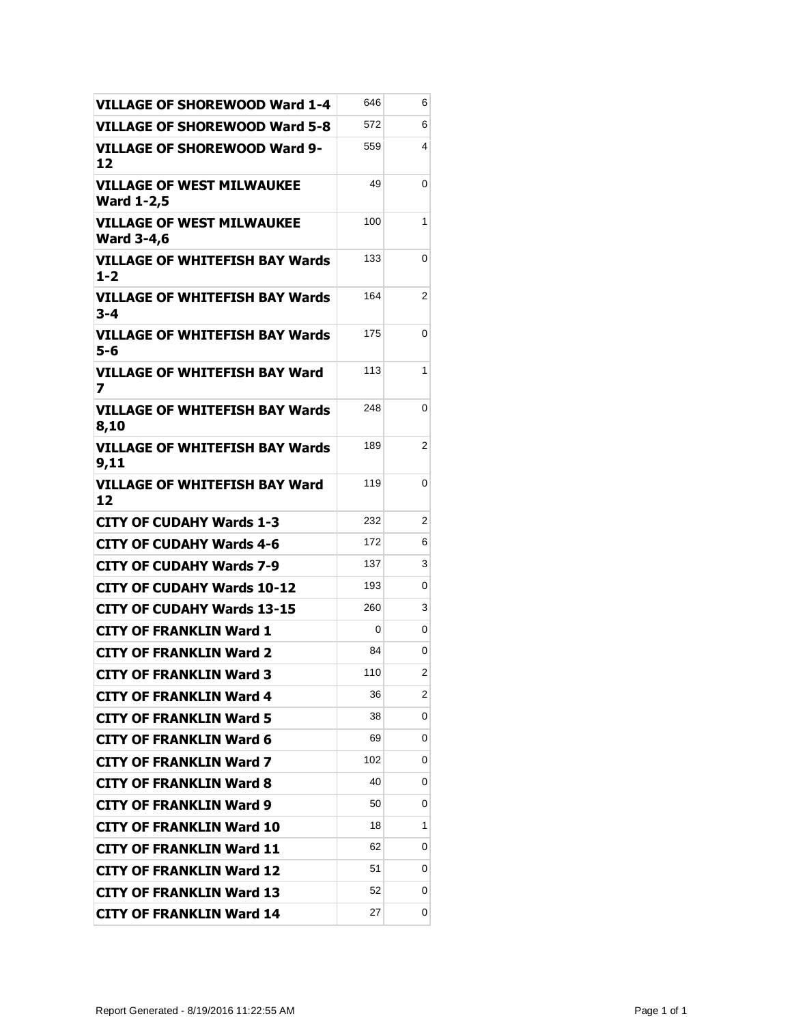| <b>VILLAGE OF SHOREWOOD Ward 1-4</b>                  | 646 | 6 |
|-------------------------------------------------------|-----|---|
| <b>VILLAGE OF SHOREWOOD Ward 5-8</b>                  | 572 | 6 |
| VILLAGE OF SHOREWOOD Ward 9-<br>12                    | 559 | 4 |
| <b>VILLAGE OF WEST MILWAUKEE</b><br><b>Ward 1-2,5</b> | 49  | 0 |
| <b>VILLAGE OF WEST MILWAUKEE</b><br><b>Ward 3-4,6</b> | 100 | 1 |
| <b>VILLAGE OF WHITEFISH BAY Wards</b><br>$1 - 2$      | 133 | 0 |
| <b>VILLAGE OF WHITEFISH BAY Wards</b><br>3-4          | 164 | 2 |
| <b>VILLAGE OF WHITEFISH BAY Wards</b><br>5-6          | 175 | 0 |
| <b>VILLAGE OF WHITEFISH BAY Ward</b><br>7             | 113 | 1 |
| VILLAGE OF WHITEFISH BAY Wards<br>8,10                | 248 | 0 |
| <b>VILLAGE OF WHITEFISH BAY Wards</b><br>9,11         | 189 | 2 |
| <b>VILLAGE OF WHITEFISH BAY Ward</b><br>12            | 119 | 0 |
| <b>CITY OF CUDAHY Wards 1-3</b>                       | 232 | 2 |
| CITY OF CUDAHY Wards 4-6                              | 172 | 6 |
| <b>CITY OF CUDAHY Wards 7-9</b>                       | 137 | 3 |
| <b>CITY OF CUDAHY Wards 10-12</b>                     | 193 | 0 |
| <b>CITY OF CUDAHY Wards 13-15</b>                     | 260 | 3 |
| <b>CITY OF FRANKLIN Ward 1</b>                        | 0   | 0 |
| <b>CITY OF FRANKLIN Ward 2</b>                        | 84  | 0 |
| <b>CITY OF FRANKLIN Ward 3</b>                        | 110 | 2 |
| <b>CITY OF FRANKLIN Ward 4</b>                        | 36  | 2 |
| <b>CITY OF FRANKLIN Ward 5</b>                        | 38  | 0 |
| <b>CITY OF FRANKLIN Ward 6</b>                        | 69  | 0 |
| <b>CITY OF FRANKLIN Ward 7</b>                        | 102 | 0 |
| <b>CITY OF FRANKLIN Ward 8</b>                        | 40  | 0 |
| <b>CITY OF FRANKLIN Ward 9</b>                        | 50  | 0 |
| <b>CITY OF FRANKLIN Ward 10</b>                       | 18  | 1 |
| <b>CITY OF FRANKLIN Ward 11</b>                       | 62  | 0 |
| <b>CITY OF FRANKLIN Ward 12</b>                       | 51  | 0 |
| <b>CITY OF FRANKLIN Ward 13</b>                       | 52  | 0 |
| <b>CITY OF FRANKLIN Ward 14</b>                       | 27  | 0 |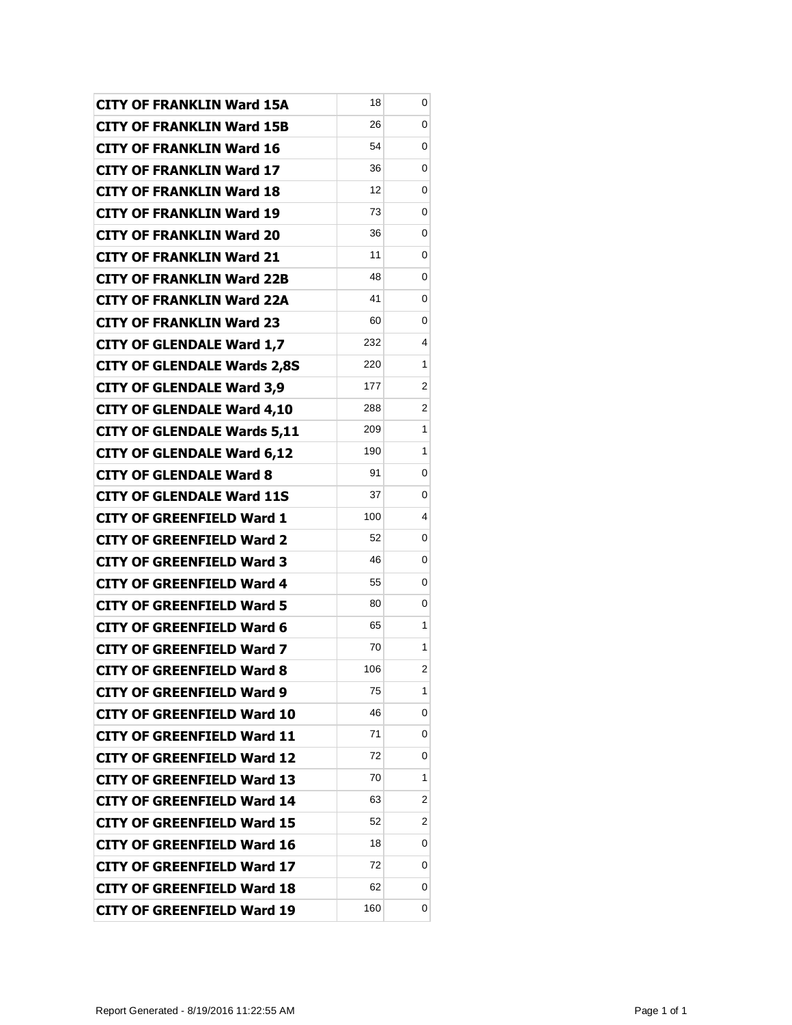| <b>CITY OF FRANKLIN Ward 15A</b>   | 18  | 0 |
|------------------------------------|-----|---|
| <b>CITY OF FRANKLIN Ward 15B</b>   | 26  | 0 |
| <b>CITY OF FRANKLIN Ward 16</b>    | 54  | 0 |
| <b>CITY OF FRANKLIN Ward 17</b>    | 36  | 0 |
| <b>CITY OF FRANKLIN Ward 18</b>    | 12  | 0 |
| <b>CITY OF FRANKLIN Ward 19</b>    | 73  | 0 |
| <b>CITY OF FRANKLIN Ward 20</b>    | 36  | 0 |
| <b>CITY OF FRANKLIN Ward 21</b>    | 11  | 0 |
| <b>CITY OF FRANKLIN Ward 22B</b>   | 48  | 0 |
| <b>CITY OF FRANKLIN Ward 22A</b>   | 41  | 0 |
| <b>CITY OF FRANKLIN Ward 23</b>    | 60  | 0 |
| <b>CITY OF GLENDALE Ward 1,7</b>   | 232 | 4 |
| <b>CITY OF GLENDALE Wards 2,8S</b> | 220 | 1 |
| <b>CITY OF GLENDALE Ward 3,9</b>   | 177 | 2 |
| <b>CITY OF GLENDALE Ward 4,10</b>  | 288 | 2 |
| <b>CITY OF GLENDALE Wards 5,11</b> | 209 | 1 |
| <b>CITY OF GLENDALE Ward 6,12</b>  | 190 | 1 |
| <b>CITY OF GLENDALE Ward 8</b>     | 91  | 0 |
| <b>CITY OF GLENDALE Ward 11S</b>   | 37  | 0 |
| <b>CITY OF GREENFIELD Ward 1</b>   | 100 | 4 |
| <b>CITY OF GREENFIELD Ward 2</b>   | 52  | 0 |
| <b>CITY OF GREENFIELD Ward 3</b>   | 46  | 0 |
| <b>CITY OF GREENFIELD Ward 4</b>   | 55  | 0 |
| <b>CITY OF GREENFIELD Ward 5</b>   | 80  | 0 |
| <b>CITY OF GREENFIELD Ward 6</b>   | 65  | 1 |
| <b>CITY OF GREENFIELD Ward 7</b>   | 70  | 1 |
| <b>CITY OF GREENFIELD Ward 8</b>   | 106 | 2 |
| <b>CITY OF GREENFIELD Ward 9</b>   | 75  | 1 |
| <b>CITY OF GREENFIELD Ward 10</b>  | 46  | 0 |
| <b>CITY OF GREENFIELD Ward 11</b>  | 71  | 0 |
| <b>CITY OF GREENFIELD Ward 12</b>  | 72  | 0 |
| <b>CITY OF GREENFIELD Ward 13</b>  | 70  | 1 |
| CITY OF GREENFIELD Ward 14         | 63  | 2 |
| CITY OF GREENFIELD Ward 15         | 52  | 2 |
| <b>CITY OF GREENFIELD Ward 16</b>  | 18  | 0 |
| <b>CITY OF GREENFIELD Ward 17</b>  | 72  | 0 |
| <b>CITY OF GREENFIELD Ward 18</b>  | 62  | 0 |
| <b>CITY OF GREENFIELD Ward 19</b>  | 160 | 0 |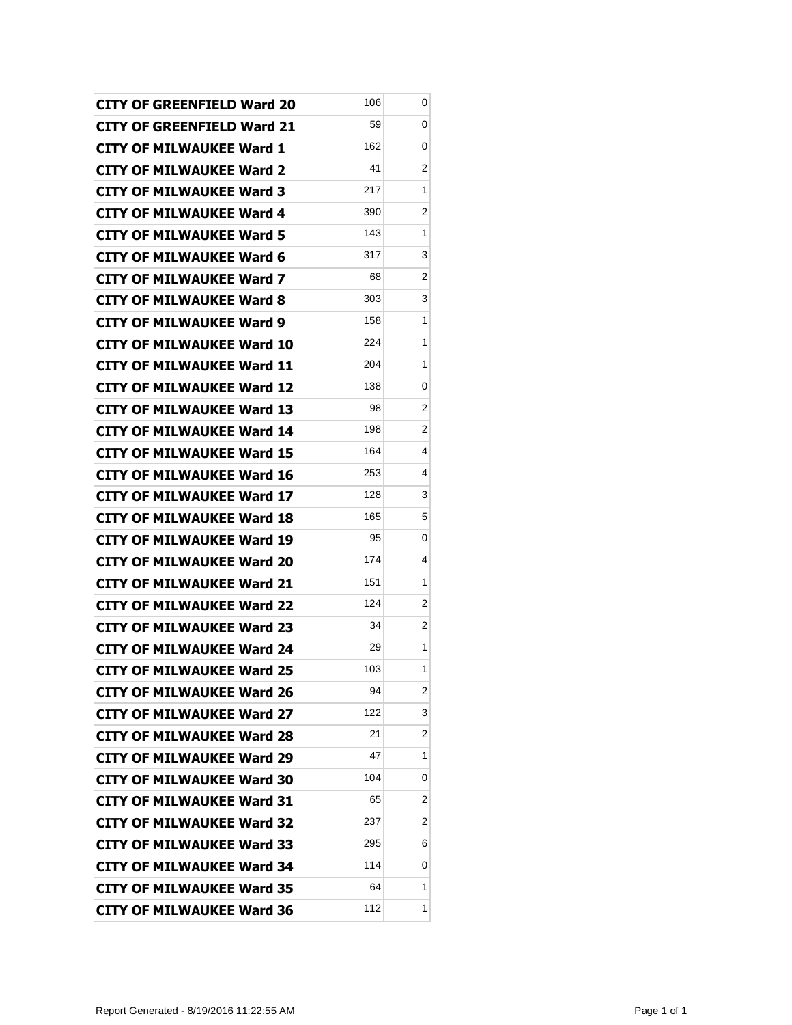| <b>CITY OF GREENFIELD Ward 20</b> | 106 | 0              |
|-----------------------------------|-----|----------------|
| <b>CITY OF GREENFIELD Ward 21</b> | 59  | 0              |
| <b>CITY OF MILWAUKEE Ward 1</b>   | 162 | 0              |
| <b>CITY OF MILWAUKEE Ward 2</b>   | 41  | 2              |
| <b>CITY OF MILWAUKEE Ward 3</b>   | 217 | 1              |
| <b>CITY OF MILWAUKEE Ward 4</b>   | 390 | 2              |
| <b>CITY OF MILWAUKEE Ward 5</b>   | 143 | 1              |
| <b>CITY OF MILWAUKEE Ward 6</b>   | 317 | 3              |
| <b>CITY OF MILWAUKEE Ward 7</b>   | 68  | 2              |
| CITY OF MILWAUKEE Ward 8          | 303 | 3              |
| <b>CITY OF MILWAUKEE Ward 9</b>   | 158 | 1              |
| <b>CITY OF MILWAUKEE Ward 10</b>  | 224 | 1              |
| CITY OF MILWAUKEE Ward 11         | 204 | 1              |
| <b>CITY OF MILWAUKEE Ward 12</b>  | 138 | 0              |
| <b>CITY OF MILWAUKEE Ward 13</b>  | 98  | 2              |
| <b>CITY OF MILWAUKEE Ward 14</b>  | 198 | 2              |
| <b>CITY OF MILWAUKEE Ward 15</b>  | 164 | 4              |
| <b>CITY OF MILWAUKEE Ward 16</b>  | 253 | 4              |
| <b>CITY OF MILWAUKEE Ward 17</b>  | 128 | 3              |
| <b>CITY OF MILWAUKEE Ward 18</b>  | 165 | 5              |
| <b>CITY OF MILWAUKEE Ward 19</b>  | 95  | 0              |
| <b>CITY OF MILWAUKEE Ward 20</b>  | 174 | 4              |
| <b>CITY OF MILWAUKEE Ward 21</b>  | 151 | 1              |
| <b>CITY OF MILWAUKEE Ward 22</b>  | 124 | 2              |
| <b>CITY OF MILWAUKEE Ward 23</b>  | 34  | 2              |
| <b>CITY OF MILWAUKEE Ward 24</b>  | 29  | 1              |
| CITY OF MILWAUKEE Ward 25         | 103 | 1              |
| <b>CITY OF MILWAUKEE Ward 26</b>  | 94  | $\overline{2}$ |
| <b>CITY OF MILWAUKEE Ward 27</b>  | 122 | 3              |
| <b>CITY OF MILWAUKEE Ward 28</b>  | 21  | 2              |
| <b>CITY OF MILWAUKEE Ward 29</b>  | 47  | 1              |
| <b>CITY OF MILWAUKEE Ward 30</b>  | 104 | 0              |
| <b>CITY OF MILWAUKEE Ward 31</b>  | 65  | 2              |
| <b>CITY OF MILWAUKEE Ward 32</b>  | 237 | 2              |
| <b>CITY OF MILWAUKEE Ward 33</b>  | 295 | 6              |
| <b>CITY OF MILWAUKEE Ward 34</b>  | 114 | 0              |
| <b>CITY OF MILWAUKEE Ward 35</b>  | 64  | 1              |
| <b>CITY OF MILWAUKEE Ward 36</b>  | 112 | 1              |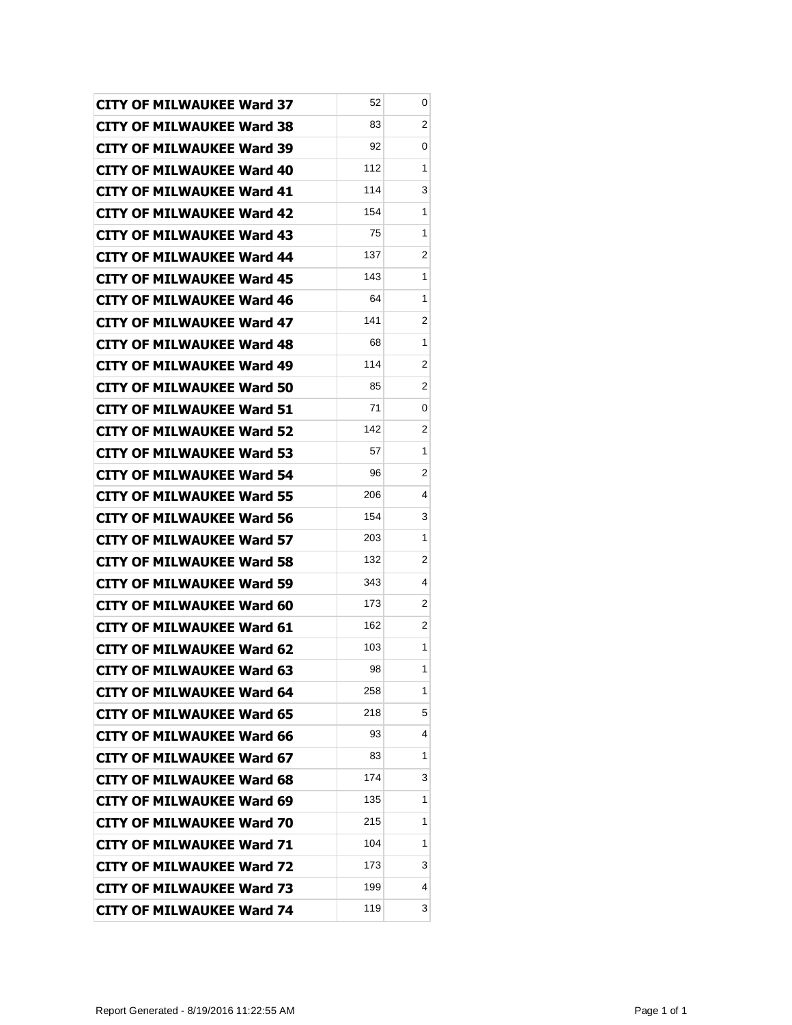| <b>CITY OF MILWAUKEE Ward 37</b>                                     | 52<br>83 | 0<br>2         |
|----------------------------------------------------------------------|----------|----------------|
| <b>CITY OF MILWAUKEE Ward 38</b>                                     | 92       | 0              |
| <b>CITY OF MILWAUKEE Ward 39</b>                                     | 112      | 1              |
| <b>CITY OF MILWAUKEE Ward 40</b><br><b>CITY OF MILWAUKEE Ward 41</b> | 114      | 3              |
| <b>CITY OF MILWAUKEE Ward 42</b>                                     | 154      | 1              |
| <b>CITY OF MILWAUKEE Ward 43</b>                                     | 75       | 1              |
| <b>CITY OF MILWAUKEE Ward 44</b>                                     | 137      | 2              |
| <b>CITY OF MILWAUKEE Ward 45</b>                                     | 143      | 1              |
| <b>CITY OF MILWAUKEE Ward 46</b>                                     | 64       | 1              |
| <b>CITY OF MILWAUKEE Ward 47</b>                                     | 141      | 2              |
| <b>CITY OF MILWAUKEE Ward 48</b>                                     | 68       | 1              |
| <b>CITY OF MILWAUKEE Ward 49</b>                                     | 114      | 2              |
| <b>CITY OF MILWAUKEE Ward 50</b>                                     | 85       | 2              |
| <b>CITY OF MILWAUKEE Ward 51</b>                                     | 71       | 0              |
| <b>CITY OF MILWAUKEE Ward 52</b>                                     | 142      | 2              |
| <b>CITY OF MILWAUKEE Ward 53</b>                                     | 57       | 1              |
| <b>CITY OF MILWAUKEE Ward 54</b>                                     | 96       | 2              |
| <b>CITY OF MILWAUKEE Ward 55</b>                                     | 206      | 4              |
| <b>CITY OF MILWAUKEE Ward 56</b>                                     | 154      | 3              |
| <b>CITY OF MILWAUKEE Ward 57</b>                                     | 203      | 1              |
| <b>CITY OF MILWAUKEE Ward 58</b>                                     | 132      | $\overline{2}$ |
| CITY OF MILWAUKEE Ward 59                                            | 343      | 4              |
| <b>CITY OF MILWAUKEE Ward 60</b>                                     | 173      | 2              |
| <b>CITY OF MILWAUKEE Ward 61</b>                                     | 162      | 2              |
| <b>CITY OF MILWAUKEE Ward 62</b>                                     | 103      | 1              |
| <b>CITY OF MILWAUKEE Ward 63</b>                                     | 98       | 1              |
| <b>CITY OF MILWAUKEE Ward 64</b>                                     | 258      | 1              |
| <b>CITY OF MILWAUKEE Ward 65</b>                                     | 218      | 5              |
| <b>CITY OF MILWAUKEE Ward 66</b>                                     | 93       | 4              |
| <b>CITY OF MILWAUKEE Ward 67</b>                                     | 83       | 1              |
| <b>CITY OF MILWAUKEE Ward 68</b>                                     | 174      | 3              |
| <b>CITY OF MILWAUKEE Ward 69</b>                                     | 135      | 1              |
| <b>CITY OF MILWAUKEE Ward 70</b>                                     | 215      | 1              |
| <b>CITY OF MILWAUKEE Ward 71</b>                                     | 104      | 1              |
| <b>CITY OF MILWAUKEE Ward 72</b>                                     | 173      | 3              |
| <b>CITY OF MILWAUKEE Ward 73</b>                                     | 199      | 4              |
| <b>CITY OF MILWAUKEE Ward 74</b>                                     | 119      | 3              |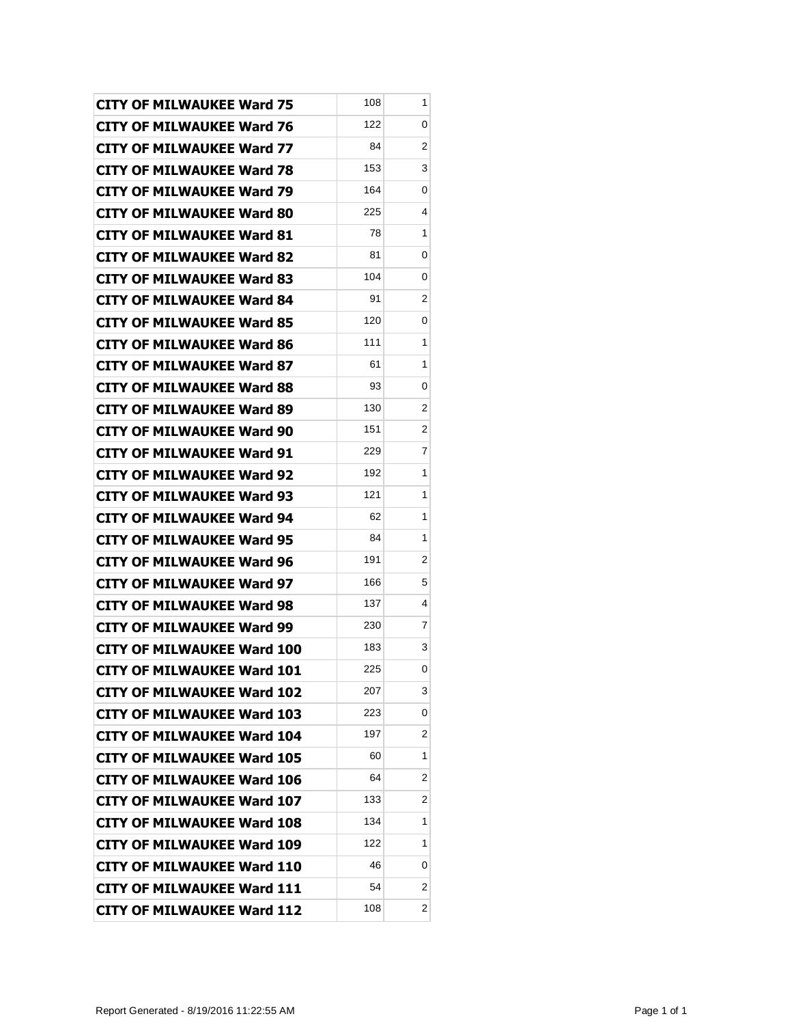| <b>CITY OF MILWAUKEE Ward 75</b>  | 108 | 1 |
|-----------------------------------|-----|---|
| <b>CITY OF MILWAUKEE Ward 76</b>  | 122 | 0 |
| <b>CITY OF MILWAUKEE Ward 77</b>  | 84  | 2 |
| <b>CITY OF MILWAUKEE Ward 78</b>  | 153 | 3 |
| <b>CITY OF MILWAUKEE Ward 79</b>  | 164 | 0 |
| <b>CITY OF MILWAUKEE Ward 80</b>  | 225 | 4 |
| <b>CITY OF MILWAUKEE Ward 81</b>  | 78  | 1 |
| <b>CITY OF MILWAUKEE Ward 82</b>  | 81  | 0 |
| <b>CITY OF MILWAUKEE Ward 83</b>  | 104 | 0 |
| <b>CITY OF MILWAUKEE Ward 84</b>  | 91  | 2 |
| <b>CITY OF MILWAUKEE Ward 85</b>  | 120 | 0 |
| <b>CITY OF MILWAUKEE Ward 86</b>  | 111 | 1 |
| <b>CITY OF MILWAUKEE Ward 87</b>  | 61  | 1 |
| <b>CITY OF MILWAUKEE Ward 88</b>  | 93  | 0 |
| <b>CITY OF MILWAUKEE Ward 89</b>  | 130 | 2 |
| <b>CITY OF MILWAUKEE Ward 90</b>  | 151 | 2 |
| <b>CITY OF MILWAUKEE Ward 91</b>  | 229 | 7 |
| <b>CITY OF MILWAUKEE Ward 92</b>  | 192 | 1 |
| <b>CITY OF MILWAUKEE Ward 93</b>  | 121 | 1 |
| <b>CITY OF MILWAUKEE Ward 94</b>  | 62  | 1 |
| <b>CITY OF MILWAUKEE Ward 95</b>  | 84  | 1 |
| <b>CITY OF MILWAUKEE Ward 96</b>  | 191 | 2 |
| CITY OF MILWAUKEE Ward 97         | 166 | 5 |
| <b>CITY OF MILWAUKEE Ward 98</b>  | 137 | 4 |
| <b>CITY OF MILWAUKEE Ward 99</b>  | 230 | 7 |
| <b>CITY OF MILWAUKEE Ward 100</b> | 183 | 3 |
| CITY OF MILWAUKEE Ward 101        | 225 | 0 |
| <b>CITY OF MILWAUKEE Ward 102</b> | 207 | 3 |
| <b>CITY OF MILWAUKEE Ward 103</b> | 223 | 0 |
| <b>CITY OF MILWAUKEE Ward 104</b> | 197 | 2 |
| <b>CITY OF MILWAUKEE Ward 105</b> | 60  | 1 |
| <b>CITY OF MILWAUKEE Ward 106</b> | 64  | 2 |
| <b>CITY OF MILWAUKEE Ward 107</b> | 133 | 2 |
| <b>CITY OF MILWAUKEE Ward 108</b> | 134 | 1 |
| <b>CITY OF MILWAUKEE Ward 109</b> | 122 | 1 |
| <b>CITY OF MILWAUKEE Ward 110</b> | 46  | 0 |
| <b>CITY OF MILWAUKEE Ward 111</b> | 54  | 2 |
| <b>CITY OF MILWAUKEE Ward 112</b> | 108 | 2 |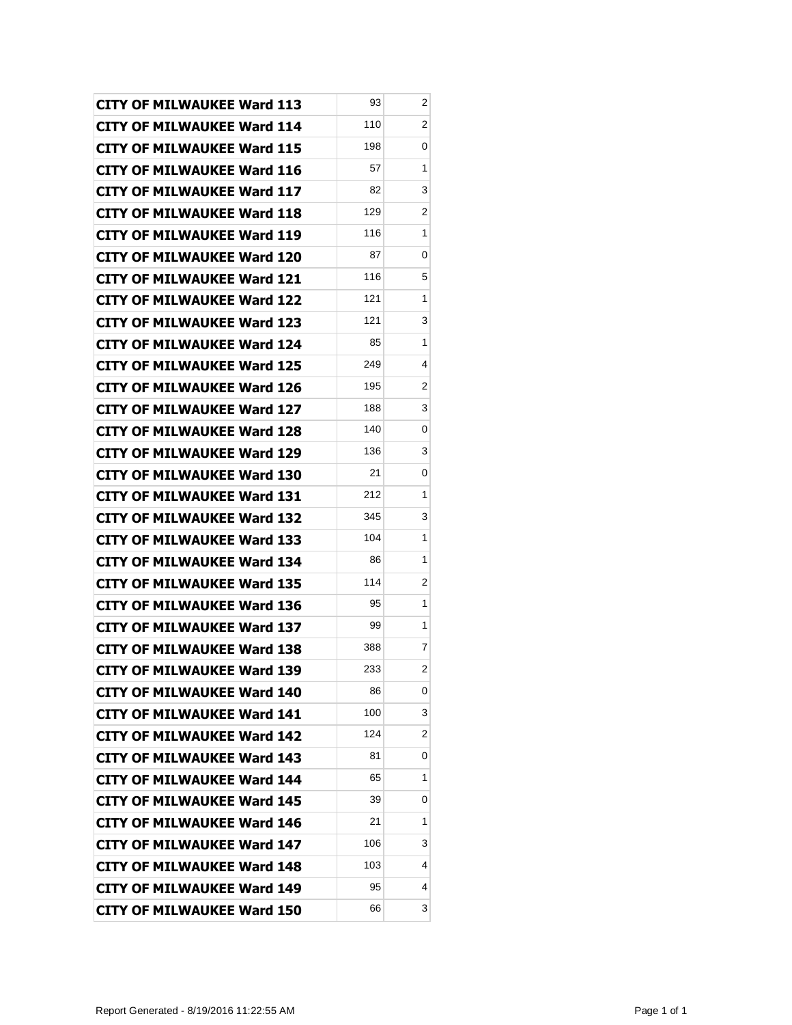| <b>CITY OF MILWAUKEE Ward 113</b> | 93  | 2                       |
|-----------------------------------|-----|-------------------------|
| <b>CITY OF MILWAUKEE Ward 114</b> | 110 | 2                       |
| <b>CITY OF MILWAUKEE Ward 115</b> | 198 | 0                       |
| <b>CITY OF MILWAUKEE Ward 116</b> | 57  | 1                       |
| <b>CITY OF MILWAUKEE Ward 117</b> | 82  | 3                       |
| <b>CITY OF MILWAUKEE Ward 118</b> | 129 | 2                       |
| <b>CITY OF MILWAUKEE Ward 119</b> | 116 | 1                       |
| <b>CITY OF MILWAUKEE Ward 120</b> | 87  | 0                       |
| <b>CITY OF MILWAUKEE Ward 121</b> | 116 | 5                       |
| <b>CITY OF MILWAUKEE Ward 122</b> | 121 | 1                       |
| <b>CITY OF MILWAUKEE Ward 123</b> | 121 | 3                       |
| <b>CITY OF MILWAUKEE Ward 124</b> | 85  | 1                       |
| <b>CITY OF MILWAUKEE Ward 125</b> | 249 | 4                       |
| <b>CITY OF MILWAUKEE Ward 126</b> | 195 | 2                       |
| <b>CITY OF MILWAUKEE Ward 127</b> | 188 | 3                       |
| <b>CITY OF MILWAUKEE Ward 128</b> | 140 | 0                       |
| <b>CITY OF MILWAUKEE Ward 129</b> | 136 | 3                       |
| <b>CITY OF MILWAUKEE Ward 130</b> | 21  | 0                       |
| <b>CITY OF MILWAUKEE Ward 131</b> | 212 | 1                       |
| <b>CITY OF MILWAUKEE Ward 132</b> | 345 | 3                       |
| <b>CITY OF MILWAUKEE Ward 133</b> | 104 | 1                       |
| <b>CITY OF MILWAUKEE Ward 134</b> | 86  | 1                       |
| CITY OF MILWAUKEE Ward 135        | 114 | 2                       |
| <b>CITY OF MILWAUKEE Ward 136</b> | 95  | 1                       |
| <b>CITY OF MILWAUKEE Ward 137</b> | 99  | 1                       |
| <b>CITY OF MILWAUKEE Ward 138</b> | 388 | 7                       |
| <b>CITY OF MILWAUKEE Ward 139</b> | 233 | $\overline{\mathbf{c}}$ |
| <b>CITY OF MILWAUKEE Ward 140</b> | 86  | 0                       |
| <b>CITY OF MILWAUKEE Ward 141</b> | 100 | 3                       |
| <b>CITY OF MILWAUKEE Ward 142</b> | 124 | 2                       |
| <b>CITY OF MILWAUKEE Ward 143</b> | 81  | 0                       |
| <b>CITY OF MILWAUKEE Ward 144</b> | 65  | 1                       |
| <b>CITY OF MILWAUKEE Ward 145</b> | 39  | 0                       |
| <b>CITY OF MILWAUKEE Ward 146</b> | 21  | 1                       |
| <b>CITY OF MILWAUKEE Ward 147</b> | 106 | 3                       |
| <b>CITY OF MILWAUKEE Ward 148</b> | 103 | 4                       |
| <b>CITY OF MILWAUKEE Ward 149</b> | 95  | 4                       |
| <b>CITY OF MILWAUKEE Ward 150</b> | 66  | 3                       |
|                                   |     |                         |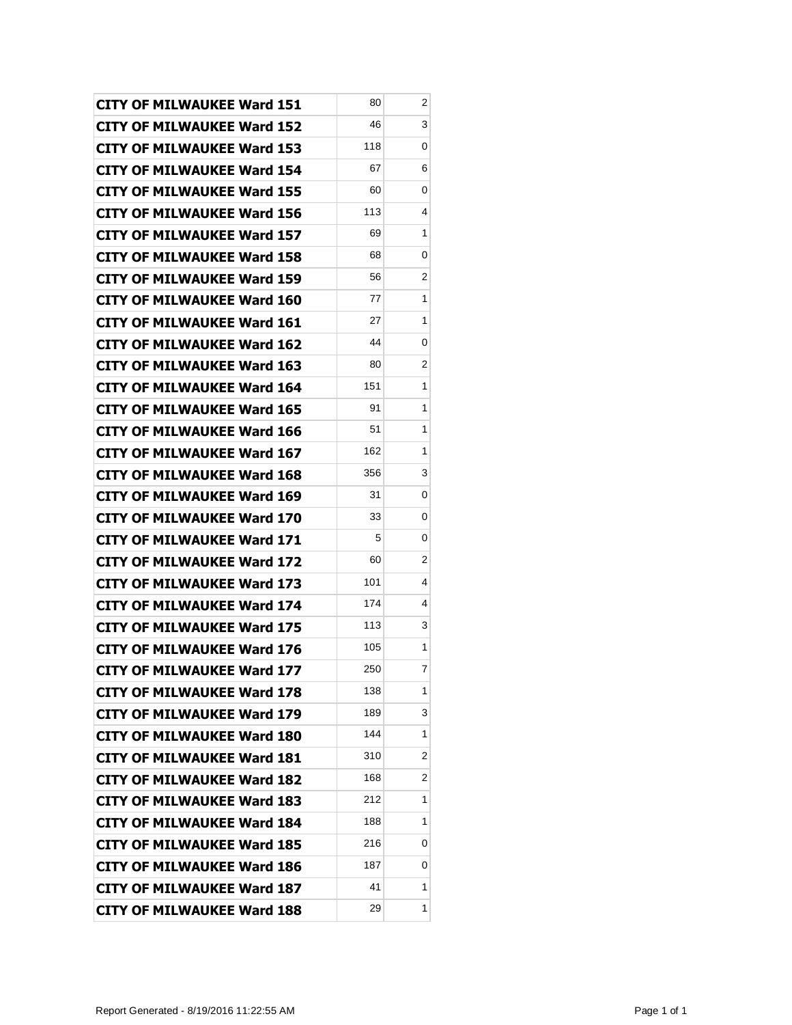| <b>CITY OF MILWAUKEE Ward 151</b> | 80  | 2 |
|-----------------------------------|-----|---|
| <b>CITY OF MILWAUKEE Ward 152</b> | 46  | 3 |
| <b>CITY OF MILWAUKEE Ward 153</b> | 118 | 0 |
| <b>CITY OF MILWAUKEE Ward 154</b> | 67  | 6 |
| <b>CITY OF MILWAUKEE Ward 155</b> | 60  | 0 |
| <b>CITY OF MILWAUKEE Ward 156</b> | 113 | 4 |
| <b>CITY OF MILWAUKEE Ward 157</b> | 69  | 1 |
| <b>CITY OF MILWAUKEE Ward 158</b> | 68  | 0 |
| <b>CITY OF MILWAUKEE Ward 159</b> | 56  | 2 |
| <b>CITY OF MILWAUKEE Ward 160</b> | 77  | 1 |
| <b>CITY OF MILWAUKEE Ward 161</b> | 27  | 1 |
| <b>CITY OF MILWAUKEE Ward 162</b> | 44  | 0 |
| <b>CITY OF MILWAUKEE Ward 163</b> | 80  | 2 |
| <b>CITY OF MILWAUKEE Ward 164</b> | 151 | 1 |
| <b>CITY OF MILWAUKEE Ward 165</b> | 91  | 1 |
| <b>CITY OF MILWAUKEE Ward 166</b> | 51  | 1 |
| <b>CITY OF MILWAUKEE Ward 167</b> | 162 | 1 |
| <b>CITY OF MILWAUKEE Ward 168</b> | 356 | 3 |
| <b>CITY OF MILWAUKEE Ward 169</b> | 31  | 0 |
| <b>CITY OF MILWAUKEE Ward 170</b> | 33  | 0 |
| <b>CITY OF MILWAUKEE Ward 171</b> | 5   | 0 |
| <b>CITY OF MILWAUKEE Ward 172</b> | 60  | 2 |
| CITY OF MILWAUKEE Ward 173        | 101 | 4 |
| <b>CITY OF MILWAUKEE Ward 174</b> | 174 | 4 |
| <b>CITY OF MILWAUKEE Ward 175</b> | 113 | 3 |
| <b>CITY OF MILWAUKEE Ward 176</b> | 105 | 1 |
| <b>CITY OF MILWAUKEE Ward 177</b> | 250 | 7 |
| <b>CITY OF MILWAUKEE Ward 178</b> | 138 | 1 |
| <b>CITY OF MILWAUKEE Ward 179</b> | 189 | 3 |
| <b>CITY OF MILWAUKEE Ward 180</b> | 144 | 1 |
| <b>CITY OF MILWAUKEE Ward 181</b> | 310 | 2 |
| <b>CITY OF MILWAUKEE Ward 182</b> | 168 | 2 |
| <b>CITY OF MILWAUKEE Ward 183</b> | 212 | 1 |
| <b>CITY OF MILWAUKEE Ward 184</b> | 188 | 1 |
| <b>CITY OF MILWAUKEE Ward 185</b> | 216 | 0 |
| <b>CITY OF MILWAUKEE Ward 186</b> | 187 | 0 |
| <b>CITY OF MILWAUKEE Ward 187</b> | 41  | 1 |
| <b>CITY OF MILWAUKEE Ward 188</b> | 29  | 1 |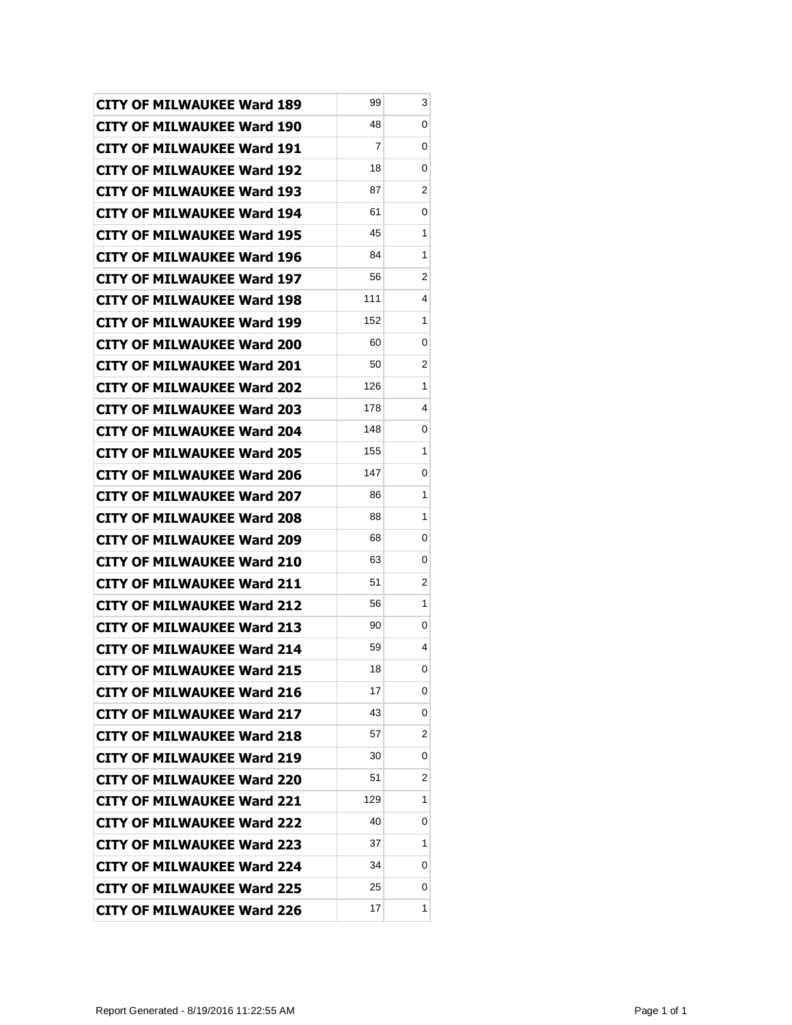| <b>CITY OF MILWAUKEE Ward 189</b> | 99                      | 3 |
|-----------------------------------|-------------------------|---|
| <b>CITY OF MILWAUKEE Ward 190</b> | 48                      | 0 |
| <b>CITY OF MILWAUKEE Ward 191</b> | $\overline{\mathbf{7}}$ | 0 |
| <b>CITY OF MILWAUKEE Ward 192</b> | 18                      | 0 |
| <b>CITY OF MILWAUKEE Ward 193</b> | 87                      | 2 |
| <b>CITY OF MILWAUKEE Ward 194</b> | 61                      | 0 |
| CITY OF MILWAUKEE Ward 195        | 45                      | 1 |
| <b>CITY OF MILWAUKEE Ward 196</b> | 84                      | 1 |
| <b>CITY OF MILWAUKEE Ward 197</b> | 56                      | 2 |
| <b>CITY OF MILWAUKEE Ward 198</b> | 111                     | 4 |
| <b>CITY OF MILWAUKEE Ward 199</b> | 152                     | 1 |
| <b>CITY OF MILWAUKEE Ward 200</b> | 60                      | 0 |
| <b>CITY OF MILWAUKEE Ward 201</b> | 50                      | 2 |
| <b>CITY OF MILWAUKEE Ward 202</b> | 126                     | 1 |
| <b>CITY OF MILWAUKEE Ward 203</b> | 178                     | 4 |
| <b>CITY OF MILWAUKEE Ward 204</b> | 148                     | 0 |
| <b>CITY OF MILWAUKEE Ward 205</b> | 155                     | 1 |
| <b>CITY OF MILWAUKEE Ward 206</b> | 147                     | 0 |
| <b>CITY OF MILWAUKEE Ward 207</b> | 86                      | 1 |
| <b>CITY OF MILWAUKEE Ward 208</b> | 88                      | 1 |
| <b>CITY OF MILWAUKEE Ward 209</b> | 68                      | 0 |
| <b>CITY OF MILWAUKEE Ward 210</b> | 63                      | 0 |
| CITY OF MILWAUKEE Ward 211        | 51                      | 2 |
| <b>CITY OF MILWAUKEE Ward 212</b> | 56                      | 1 |
| <b>CITY OF MILWAUKEE Ward 213</b> | 90                      | 0 |
| <b>CITY OF MILWAUKEE Ward 214</b> | 59                      | 4 |
| <b>CITY OF MILWAUKEE Ward 215</b> | 18                      | 0 |
| <b>CITY OF MILWAUKEE Ward 216</b> | 17                      | 0 |
| <b>CITY OF MILWAUKEE Ward 217</b> | 43                      | 0 |
| <b>CITY OF MILWAUKEE Ward 218</b> | 57                      | 2 |
| <b>CITY OF MILWAUKEE Ward 219</b> | 30                      | 0 |
| <b>CITY OF MILWAUKEE Ward 220</b> | 51                      | 2 |
| <b>CITY OF MILWAUKEE Ward 221</b> | 129                     | 1 |
| <b>CITY OF MILWAUKEE Ward 222</b> | 40                      | 0 |
| <b>CITY OF MILWAUKEE Ward 223</b> | 37                      | 1 |
| <b>CITY OF MILWAUKEE Ward 224</b> | 34                      | 0 |
| <b>CITY OF MILWAUKEE Ward 225</b> | 25                      | 0 |
| <b>CITY OF MILWAUKEE Ward 226</b> | 17                      | 1 |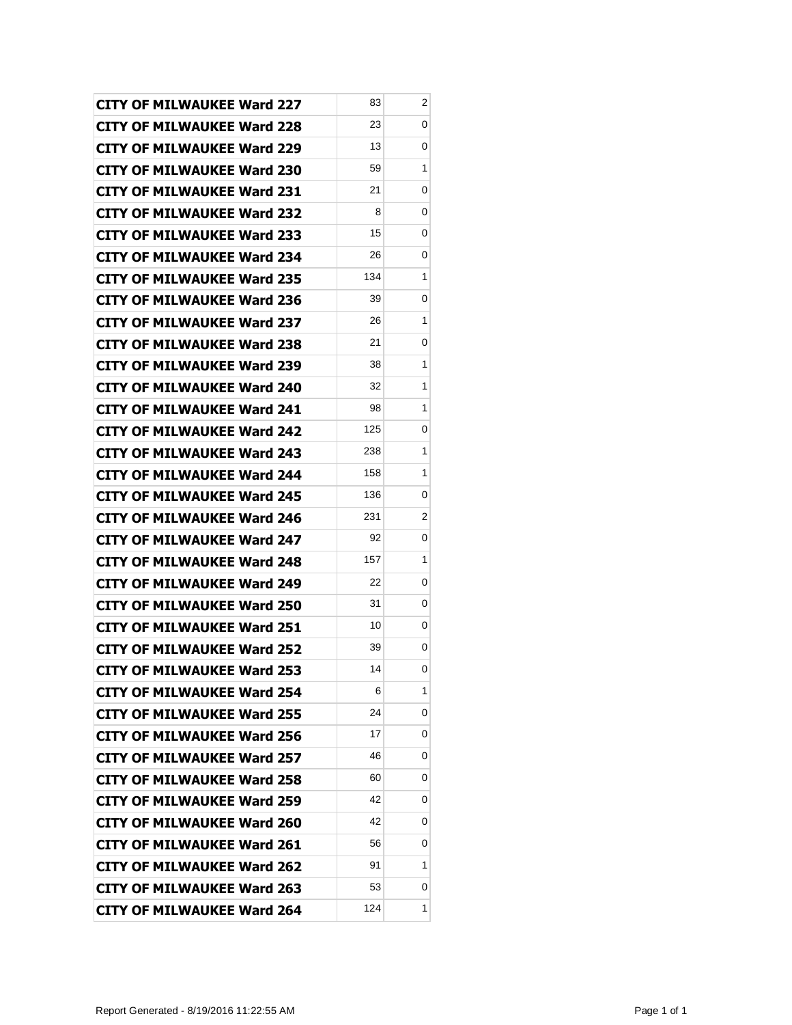| <b>CITY OF MILWAUKEE Ward 227</b> | 83  | 2 |
|-----------------------------------|-----|---|
| <b>CITY OF MILWAUKEE Ward 228</b> | 23  | 0 |
| <b>CITY OF MILWAUKEE Ward 229</b> | 13  | 0 |
| <b>CITY OF MILWAUKEE Ward 230</b> | 59  | 1 |
| <b>CITY OF MILWAUKEE Ward 231</b> | 21  | 0 |
| <b>CITY OF MILWAUKEE Ward 232</b> | 8   | 0 |
| CITY OF MILWAUKEE Ward 233        | 15  | 0 |
| <b>CITY OF MILWAUKEE Ward 234</b> | 26  | 0 |
| <b>CITY OF MILWAUKEE Ward 235</b> | 134 | 1 |
| <b>CITY OF MILWAUKEE Ward 236</b> | 39  | 0 |
| <b>CITY OF MILWAUKEE Ward 237</b> | 26  | 1 |
| CITY OF MILWAUKEE Ward 238        | 21  | 0 |
| <b>CITY OF MILWAUKEE Ward 239</b> | 38  | 1 |
| <b>CITY OF MILWAUKEE Ward 240</b> | 32  | 1 |
| <b>CITY OF MILWAUKEE Ward 241</b> | 98  | 1 |
| <b>CITY OF MILWAUKEE Ward 242</b> | 125 | 0 |
| <b>CITY OF MILWAUKEE Ward 243</b> | 238 | 1 |
| <b>CITY OF MILWAUKEE Ward 244</b> | 158 | 1 |
| <b>CITY OF MILWAUKEE Ward 245</b> | 136 | 0 |
| <b>CITY OF MILWAUKEE Ward 246</b> | 231 | 2 |
| <b>CITY OF MILWAUKEE Ward 247</b> | 92  | 0 |
| <b>CITY OF MILWAUKEE Ward 248</b> | 157 | 1 |
| <b>CITY OF MILWAUKEE Ward 249</b> | 22  | 0 |
| <b>CITY OF MILWAUKEE Ward 250</b> | 31  | 0 |
| <b>CITY OF MILWAUKEE Ward 251</b> | 10  | 0 |
| <b>CITY OF MILWAUKEE Ward 252</b> | 39  | 0 |
| <b>CITY OF MILWAUKEE Ward 253</b> | 14  | 0 |
| <b>CITY OF MILWAUKEE Ward 254</b> | 6   | 1 |
| <b>CITY OF MILWAUKEE Ward 255</b> | 24  | 0 |
| <b>CITY OF MILWAUKEE Ward 256</b> | 17  | 0 |
| <b>CITY OF MILWAUKEE Ward 257</b> | 46  | 0 |
| <b>CITY OF MILWAUKEE Ward 258</b> | 60  | 0 |
| <b>CITY OF MILWAUKEE Ward 259</b> | 42  | 0 |
| <b>CITY OF MILWAUKEE Ward 260</b> | 42  | 0 |
| <b>CITY OF MILWAUKEE Ward 261</b> | 56  | 0 |
| <b>CITY OF MILWAUKEE Ward 262</b> | 91  | 1 |
| <b>CITY OF MILWAUKEE Ward 263</b> | 53  | 0 |
| <b>CITY OF MILWAUKEE Ward 264</b> | 124 | 1 |
|                                   |     |   |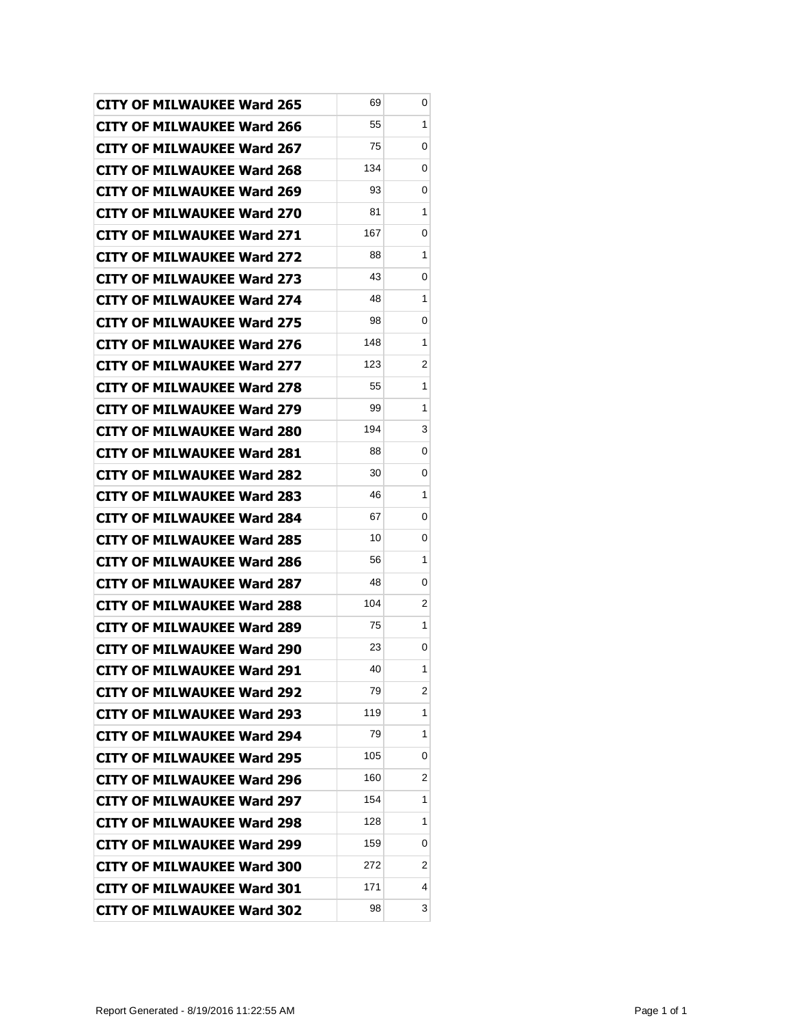| <b>CITY OF MILWAUKEE Ward 265</b> | 69  | 0 |
|-----------------------------------|-----|---|
| <b>CITY OF MILWAUKEE Ward 266</b> | 55  | 1 |
| <b>CITY OF MILWAUKEE Ward 267</b> | 75  | 0 |
| <b>CITY OF MILWAUKEE Ward 268</b> | 134 | 0 |
| <b>CITY OF MILWAUKEE Ward 269</b> | 93  | 0 |
| <b>CITY OF MILWAUKEE Ward 270</b> | 81  | 1 |
| CITY OF MILWAUKEE Ward 271        | 167 | 0 |
| <b>CITY OF MILWAUKEE Ward 272</b> | 88  | 1 |
| <b>CITY OF MILWAUKEE Ward 273</b> | 43  | 0 |
| <b>CITY OF MILWAUKEE Ward 274</b> | 48  | 1 |
| <b>CITY OF MILWAUKEE Ward 275</b> | 98  | 0 |
| CITY OF MILWAUKEE Ward 276        | 148 | 1 |
| <b>CITY OF MILWAUKEE Ward 277</b> | 123 | 2 |
| <b>CITY OF MILWAUKEE Ward 278</b> | 55  | 1 |
| <b>CITY OF MILWAUKEE Ward 279</b> | 99  | 1 |
| <b>CITY OF MILWAUKEE Ward 280</b> | 194 | 3 |
| <b>CITY OF MILWAUKEE Ward 281</b> | 88  | 0 |
| <b>CITY OF MILWAUKEE Ward 282</b> | 30  | 0 |
| <b>CITY OF MILWAUKEE Ward 283</b> | 46  | 1 |
| <b>CITY OF MILWAUKEE Ward 284</b> | 67  | 0 |
| <b>CITY OF MILWAUKEE Ward 285</b> | 10  | 0 |
| <b>CITY OF MILWAUKEE Ward 286</b> | 56  | 1 |
| <b>CITY OF MILWAUKEE Ward 287</b> | 48  | 0 |
| <b>CITY OF MILWAUKEE Ward 288</b> | 104 | 2 |
| <b>CITY OF MILWAUKEE Ward 289</b> | 75  | 1 |
| <b>CITY OF MILWAUKEE Ward 290</b> | 23  | 0 |
| <b>CITY OF MILWAUKEE Ward 291</b> | 40  | 1 |
| <b>CITY OF MILWAUKEE Ward 292</b> | 79  | 2 |
| <b>CITY OF MILWAUKEE Ward 293</b> | 119 | 1 |
| <b>CITY OF MILWAUKEE Ward 294</b> | 79  | 1 |
| <b>CITY OF MILWAUKEE Ward 295</b> | 105 | 0 |
| <b>CITY OF MILWAUKEE Ward 296</b> | 160 | 2 |
| <b>CITY OF MILWAUKEE Ward 297</b> | 154 | 1 |
| <b>CITY OF MILWAUKEE Ward 298</b> | 128 | 1 |
| <b>CITY OF MILWAUKEE Ward 299</b> | 159 | 0 |
| <b>CITY OF MILWAUKEE Ward 300</b> | 272 | 2 |
| <b>CITY OF MILWAUKEE Ward 301</b> | 171 | 4 |
| <b>CITY OF MILWAUKEE Ward 302</b> | 98  | 3 |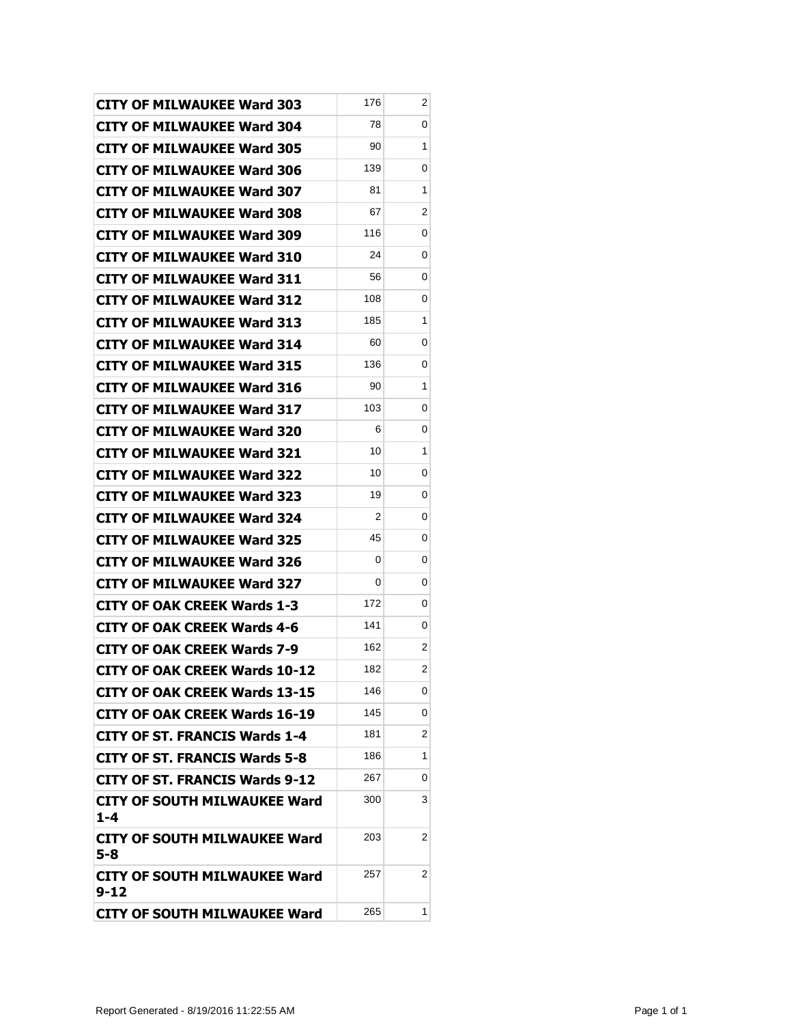| <b>CITY OF MILWAUKEE Ward 303</b>               | 176 | 2                       |
|-------------------------------------------------|-----|-------------------------|
| <b>CITY OF MILWAUKEE Ward 304</b>               | 78  | 0                       |
| <b>CITY OF MILWAUKEE Ward 305</b>               | 90  | 1                       |
| <b>CITY OF MILWAUKEE Ward 306</b>               | 139 | 0                       |
| <b>CITY OF MILWAUKEE Ward 307</b>               | 81  | 1                       |
| <b>CITY OF MILWAUKEE Ward 308</b>               | 67  | 2                       |
| <b>CITY OF MILWAUKEE Ward 309</b>               | 116 | 0                       |
| <b>CITY OF MILWAUKEE Ward 310</b>               | 24  | 0                       |
| <b>CITY OF MILWAUKEE Ward 311</b>               | 56  | 0                       |
| <b>CITY OF MILWAUKEE Ward 312</b>               | 108 | 0                       |
| <b>CITY OF MILWAUKEE Ward 313</b>               | 185 | 1                       |
| <b>CITY OF MILWAUKEE Ward 314</b>               | 60  | 0                       |
| <b>CITY OF MILWAUKEE Ward 315</b>               | 136 | 0                       |
| <b>CITY OF MILWAUKEE Ward 316</b>               | 90  | 1                       |
| <b>CITY OF MILWAUKEE Ward 317</b>               | 103 | 0                       |
| <b>CITY OF MILWAUKEE Ward 320</b>               | 6   | 0                       |
| <b>CITY OF MILWAUKEE Ward 321</b>               | 10  | 1                       |
| <b>CITY OF MILWAUKEE Ward 322</b>               | 10  | 0                       |
| <b>CITY OF MILWAUKEE Ward 323</b>               | 19  | 0                       |
| <b>CITY OF MILWAUKEE Ward 324</b>               | 2   | 0                       |
| <b>CITY OF MILWAUKEE Ward 325</b>               | 45  | 0                       |
| <b>CITY OF MILWAUKEE Ward 326</b>               | 0   | 0                       |
| <b>CITY OF MILWAUKEE Ward 327</b>               | 0   | 0                       |
| <b>CITY OF OAK CREEK Wards 1-3</b>              | 172 | 0                       |
| <b>CITY OF OAK CREEK Wards 4-6</b>              | 141 | 0                       |
| <b>CITY OF OAK CREEK Wards 7-9</b>              | 162 | 2                       |
| <b>CITY OF OAK CREEK Wards 10-12</b>            | 182 | $\overline{\mathbf{c}}$ |
| CITY OF OAK CREEK Wards 13-15                   | 146 | 0                       |
| <b>CITY OF OAK CREEK Wards 16-19</b>            | 145 | 0                       |
| <b>CITY OF ST. FRANCIS Wards 1-4</b>            | 181 | 2                       |
| <b>CITY OF ST. FRANCIS Wards 5-8</b>            | 186 | 1                       |
| <b>CITY OF ST. FRANCIS Wards 9-12</b>           | 267 | 0                       |
| <b>CITY OF SOUTH MILWAUKEE Ward</b><br>$1 - 4$  | 300 | 3                       |
| CITY OF SOUTH MILWAUKEE Ward<br>$5 - 8$         | 203 | 2                       |
| <b>CITY OF SOUTH MILWAUKEE Ward</b><br>$9 - 12$ | 257 | 2                       |
| <b>CITY OF SOUTH MILWAUKEE Ward</b>             | 265 | 1                       |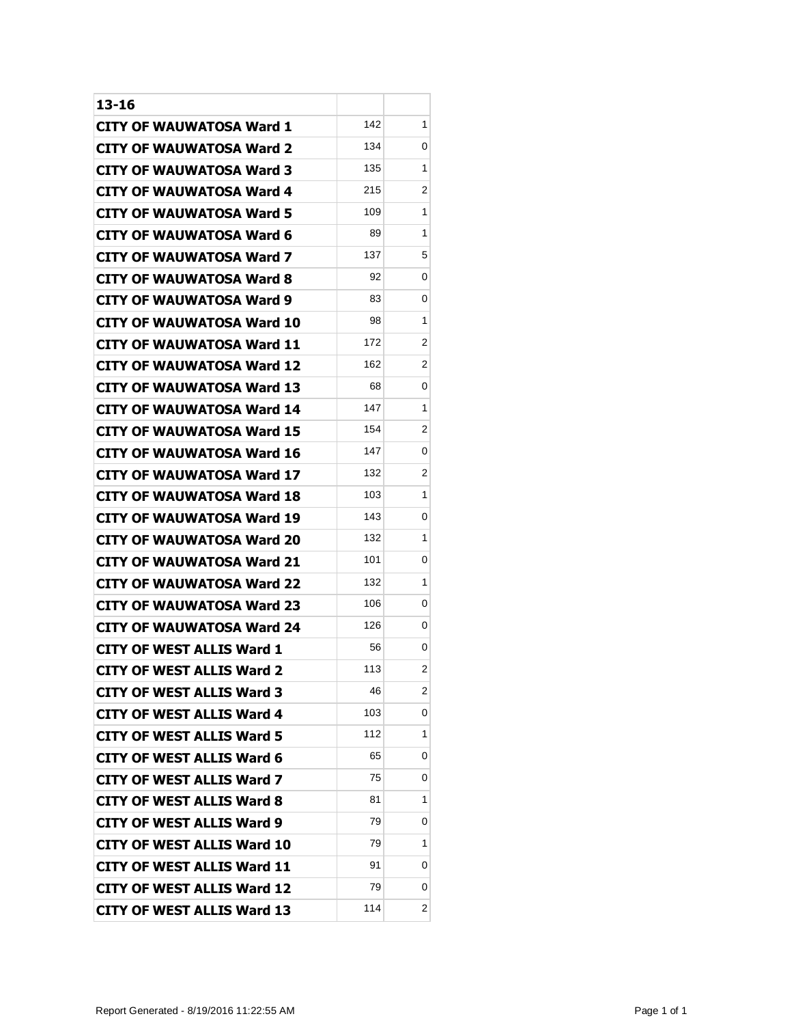| 13-16                             |     |                         |
|-----------------------------------|-----|-------------------------|
| <b>CITY OF WAUWATOSA Ward 1</b>   | 142 | 1                       |
| CITY OF WAUWATOSA Ward 2          | 134 | 0                       |
| CITY OF WAUWATOSA Ward 3          | 135 | 1                       |
| <b>CITY OF WAUWATOSA Ward 4</b>   | 215 | 2                       |
| <b>CITY OF WAUWATOSA Ward 5</b>   | 109 | 1                       |
| <b>CITY OF WAUWATOSA Ward 6</b>   | 89  | 1                       |
| CITY OF WAUWATOSA Ward 7          | 137 | 5                       |
| <b>CITY OF WAUWATOSA Ward 8</b>   | 92  | 0                       |
| CITY OF WAUWATOSA Ward 9          | 83  | 0                       |
| <b>CITY OF WAUWATOSA Ward 10</b>  | 98  | 1                       |
| <b>CITY OF WAUWATOSA Ward 11</b>  | 172 | 2                       |
| CITY OF WAUWATOSA Ward 12         | 162 | 2                       |
| <b>CITY OF WAUWATOSA Ward 13</b>  | 68  | 0                       |
| <b>CITY OF WAUWATOSA Ward 14</b>  | 147 | 1                       |
| <b>CITY OF WAUWATOSA Ward 15</b>  | 154 | 2                       |
| <b>CITY OF WAUWATOSA Ward 16</b>  | 147 | 0                       |
| CITY OF WAUWATOSA Ward 17         | 132 | 2                       |
| <b>CITY OF WAUWATOSA Ward 18</b>  | 103 | 1                       |
| CITY OF WAUWATOSA Ward 19         | 143 | 0                       |
| <b>CITY OF WAUWATOSA Ward 20</b>  | 132 | 1                       |
| <b>CITY OF WAUWATOSA Ward 21</b>  | 101 | 0                       |
| CITY OF WAUWATOSA Ward 22         | 132 | 1                       |
| <b>CITY OF WAUWATOSA Ward 23</b>  | 106 | 0                       |
| CITY OF WAUWATOSA Ward 24         | 126 | 0                       |
| <b>CITY OF WEST ALLIS Ward 1</b>  | 56  | 0                       |
| CITY OF WEST ALLIS Ward 2         | 113 | $\overline{\mathbf{c}}$ |
| <b>CITY OF WEST ALLIS Ward 3</b>  | 46  | $\overline{2}$          |
| <b>CITY OF WEST ALLIS Ward 4</b>  | 103 | 0                       |
| <b>CITY OF WEST ALLIS Ward 5</b>  | 112 | 1                       |
| <b>CITY OF WEST ALLIS Ward 6</b>  | 65  | 0                       |
| <b>CITY OF WEST ALLIS Ward 7</b>  | 75  | 0                       |
| <b>CITY OF WEST ALLIS Ward 8</b>  | 81  | 1                       |
| <b>CITY OF WEST ALLIS Ward 9</b>  | 79  | 0                       |
| <b>CITY OF WEST ALLIS Ward 10</b> | 79  | 1                       |
| <b>CITY OF WEST ALLIS Ward 11</b> | 91  | 0                       |
| <b>CITY OF WEST ALLIS Ward 12</b> | 79  | 0                       |
| <b>CITY OF WEST ALLIS Ward 13</b> | 114 | 2                       |